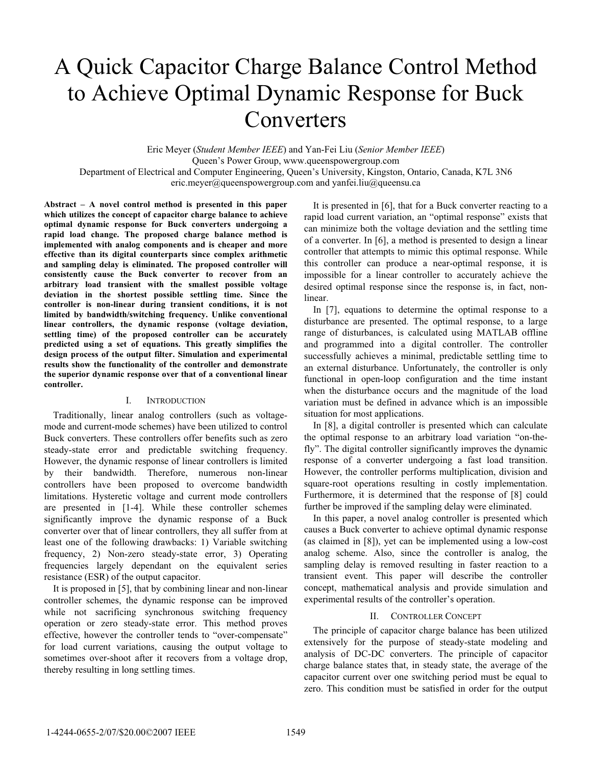# A Quick Capacitor Charge Balance Control Method to Achieve Optimal Dynamic Response for Buck Converters

Eric Meyer (*Student Member IEEE*) and Yan-Fei Liu (*Senior Member IEEE*) Queen's Power Group, www.queenspowergroup.com Department of Electrical and Computer Engineering, Queen's University, Kingston, Ontario, Canada, K7L 3N6 eric.meyer@queenspowergroup.com and yanfei.liu@queensu.ca

**Abstract – A novel control method is presented in this paper which utilizes the concept of capacitor charge balance to achieve optimal dynamic response for Buck converters undergoing a rapid load change. The proposed charge balance method is implemented with analog components and is cheaper and more effective than its digital counterparts since complex arithmetic and sampling delay is eliminated. The proposed controller will consistently cause the Buck converter to recover from an arbitrary load transient with the smallest possible voltage deviation in the shortest possible settling time. Since the controller is non-linear during transient conditions, it is not limited by bandwidth/switching frequency. Unlike conventional linear controllers, the dynamic response (voltage deviation, settling time) of the proposed controller can be accurately predicted using a set of equations. This greatly simplifies the design process of the output filter. Simulation and experimental results show the functionality of the controller and demonstrate the superior dynamic response over that of a conventional linear controller.** 

#### I. INTRODUCTION

Traditionally, linear analog controllers (such as voltagemode and current-mode schemes) have been utilized to control Buck converters. These controllers offer benefits such as zero steady-state error and predictable switching frequency. However, the dynamic response of linear controllers is limited by their bandwidth. Therefore, numerous non-linear controllers have been proposed to overcome bandwidth limitations. Hysteretic voltage and current mode controllers are presented in [1-4]. While these controller schemes significantly improve the dynamic response of a Buck converter over that of linear controllers, they all suffer from at least one of the following drawbacks: 1) Variable switching frequency, 2) Non-zero steady-state error, 3) Operating frequencies largely dependant on the equivalent series resistance (ESR) of the output capacitor.

It is proposed in [5], that by combining linear and non-linear controller schemes, the dynamic response can be improved while not sacrificing synchronous switching frequency operation or zero steady-state error. This method proves effective, however the controller tends to "over-compensate" for load current variations, causing the output voltage to sometimes over-shoot after it recovers from a voltage drop, thereby resulting in long settling times.

It is presented in [6], that for a Buck converter reacting to a rapid load current variation, an "optimal response" exists that can minimize both the voltage deviation and the settling time of a converter. In [6], a method is presented to design a linear controller that attempts to mimic this optimal response. While this controller can produce a near-optimal response, it is impossible for a linear controller to accurately achieve the desired optimal response since the response is, in fact, nonlinear.

In [7], equations to determine the optimal response to a disturbance are presented. The optimal response, to a large range of disturbances, is calculated using MATLAB offline and programmed into a digital controller. The controller successfully achieves a minimal, predictable settling time to an external disturbance. Unfortunately, the controller is only functional in open-loop configuration and the time instant when the disturbance occurs and the magnitude of the load variation must be defined in advance which is an impossible situation for most applications.

In [8], a digital controller is presented which can calculate the optimal response to an arbitrary load variation "on-thefly". The digital controller significantly improves the dynamic response of a converter undergoing a fast load transition. However, the controller performs multiplication, division and square-root operations resulting in costly implementation. Furthermore, it is determined that the response of [8] could further be improved if the sampling delay were eliminated.

In this paper, a novel analog controller is presented which causes a Buck converter to achieve optimal dynamic response (as claimed in [8]), yet can be implemented using a low-cost analog scheme. Also, since the controller is analog, the sampling delay is removed resulting in faster reaction to a transient event. This paper will describe the controller concept, mathematical analysis and provide simulation and experimental results of the controller's operation.

# II. CONTROLLER CONCEPT

The principle of capacitor charge balance has been utilized extensively for the purpose of steady-state modeling and analysis of DC-DC converters. The principle of capacitor charge balance states that, in steady state, the average of the capacitor current over one switching period must be equal to zero. This condition must be satisfied in order for the output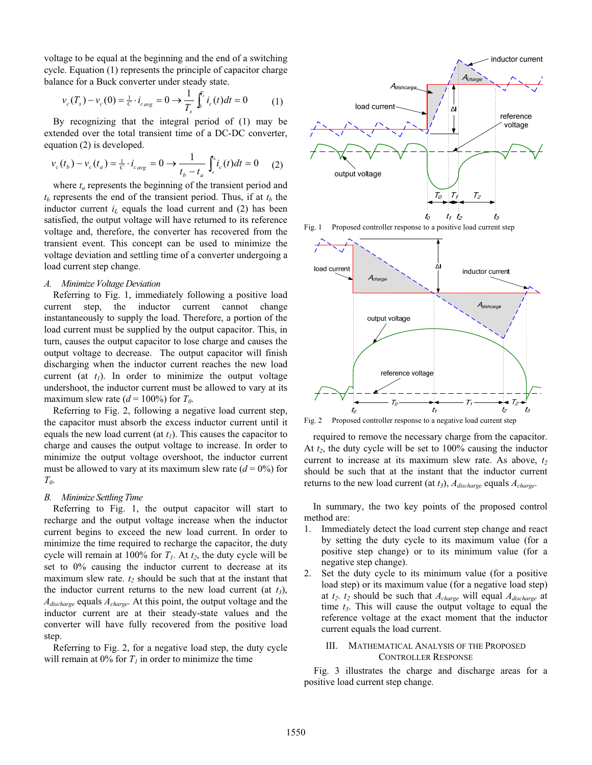voltage to be equal at the beginning and the end of a switching cycle. Equation (1) represents the principle of capacitor charge balance for a Buck converter under steady state.

$$
v_c(T_s) - v_c(0) = \frac{1}{c} \cdot i_{cavg} = 0 \to \frac{1}{T_s} \int_s^{T_s} i_c(t)dt = 0
$$
 (1)

By recognizing that the integral period of (1) may be extended over the total transient time of a DC-DC converter, equation (2) is developed.

$$
v_c(t_b) - v_c(t_a) = \frac{1}{c} \cdot i_{cavg} = 0 \to \frac{1}{t_b - t_a} \int_a^b i_c(t) dt = 0 \tag{2}
$$

where  $t_a$  represents the beginning of the transient period and  $t_b$  represents the end of the transient period. Thus, if at  $t_b$  the inductor current  $i_l$  equals the load current and (2) has been satisfied, the output voltage will have returned to its reference voltage and, therefore, the converter has recovered from the transient event. This concept can be used to minimize the voltage deviation and settling time of a converter undergoing a load current step change.

#### *A. Minimize Voltage Deviation*

Referring to Fig. 1, immediately following a positive load current step, the inductor current cannot change instantaneously to supply the load. Therefore, a portion of the load current must be supplied by the output capacitor. This, in turn, causes the output capacitor to lose charge and causes the output voltage to decrease. The output capacitor will finish discharging when the inductor current reaches the new load current (at  $t_1$ ). In order to minimize the output voltage undershoot, the inductor current must be allowed to vary at its maximum slew rate  $(d = 100\%)$  for  $T_0$ .

Referring to Fig. 2, following a negative load current step, the capacitor must absorb the excess inductor current until it equals the new load current (at  $t_1$ ). This causes the capacitor to charge and causes the output voltage to increase. In order to minimize the output voltage overshoot, the inductor current must be allowed to vary at its maximum slew rate  $(d = 0\%)$  for *T0*.

#### *B. Minimize Settling Time*

Referring to Fig. 1, the output capacitor will start to recharge and the output voltage increase when the inductor current begins to exceed the new load current. In order to minimize the time required to recharge the capacitor, the duty cycle will remain at 100% for  $T_1$ . At  $t_2$ , the duty cycle will be set to 0% causing the inductor current to decrease at its maximum slew rate.  $t_2$  should be such that at the instant that the inductor current returns to the new load current (at  $t_3$ ), *Adischarge* equals *Acharge*. At this point, the output voltage and the inductor current are at their steady-state values and the converter will have fully recovered from the positive load step.

Referring to Fig. 2, for a negative load step, the duty cycle will remain at 0% for  $T<sub>l</sub>$  in order to minimize the time







Fig. 2 Proposed controller response to a negative load current step

required to remove the necessary charge from the capacitor. At  $t_2$ , the duty cycle will be set to  $100\%$  causing the inductor current to increase at its maximum slew rate. As above,  $t_2$ should be such that at the instant that the inductor current returns to the new load current (at *t3*), *Adischarge* equals *Acharge*.

In summary, the two key points of the proposed control method are:

- 1. Immediately detect the load current step change and react by setting the duty cycle to its maximum value (for a positive step change) or to its minimum value (for a negative step change).
- 2. Set the duty cycle to its minimum value (for a positive load step) or its maximum value (for a negative load step) at *t2*. *t2* should be such that *Acharge* will equal *Adischarge* at time *t3*. This will cause the output voltage to equal the reference voltage at the exact moment that the inductor current equals the load current.

# III. MATHEMATICAL ANALYSIS OF THE PROPOSED CONTROLLER RESPONSE

Fig. 3 illustrates the charge and discharge areas for a positive load current step change.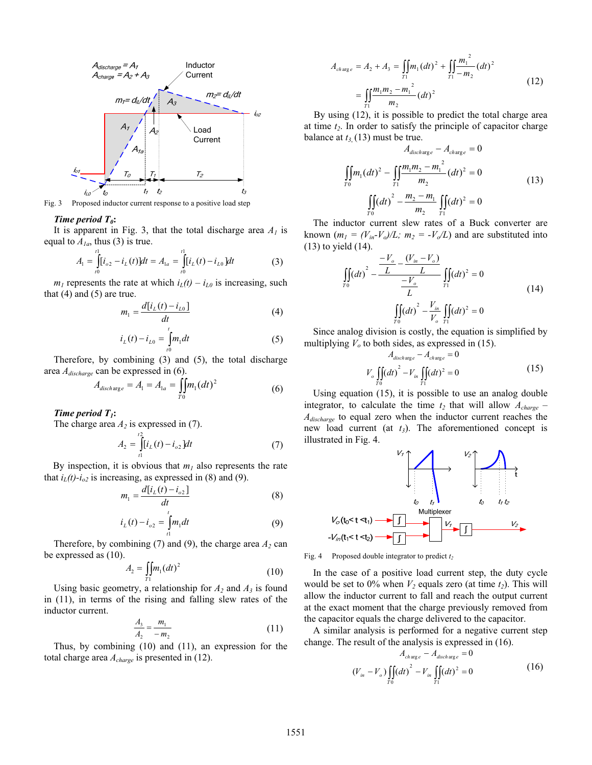

Fig. 3 Proposed inductor current response to a positive load step

#### *Time period T<sub>0</sub>*:

It is apparent in Fig. 3, that the total discharge area  $A<sub>1</sub>$  is equal to  $A_{1a}$ , thus (3) is true.

$$
A_1 = \int_{t_0}^{t_1} [i_{0.2} - i_L(t)] dt = A_{1a} = \int_{t_0}^{t_1} [i_L(t) - i_{L0}] dt
$$
 (3)

 $m_l$  represents the rate at which  $i_l(t) - i_{l,0}$  is increasing, such that  $(4)$  and  $(5)$  are true.

$$
m_1 = \frac{d[i_L(t) - i_{L0}]}{dt}
$$
\n
$$
i_L(t) = i_L = \int_0^t m \, dt
$$
\n(4)

$$
i_L(t) - i_{L0} = \int_{t0}^{t} m_1 dt
$$
 (5)

Therefore, by combining (3) and (5), the total discharge area *Adischarge* can be expressed in (6). 2

$$
A_{discharge} = A_1 = A_{1a} = \iint_{T_0} m_1 (dt)^2
$$
 (6)

*Time period T1***:**

The charge area  $A_2$  is expressed in (7).

$$
A_2 = \int_{t1}^{t2} [i_L(t) - i_{o2}] dt
$$
 (7)

By inspection, it is obvious that  $m_1$  also represents the rate that  $i_L(t)$ - $i_{o2}$  is increasing, as expressed in (8) and (9).

$$
m_1 = \frac{d[i_L(t) - i_{o2}]}{dt}
$$
 (8)

$$
i_{L}(t) - i_{o2} = \int_{1}^{t} m_{1} dt
$$
 (9)

Therefore, by combining  $(7)$  and  $(9)$ , the charge area  $A_2$  can be expressed as  $(10)$ .

$$
A_2 = \iint_{T_1} m_1 (dt)^2
$$
 (10)

Using basic geometry, a relationship for  $A_2$  and  $A_3$  is found in (11), in terms of the rising and falling slew rates of the inductor current.

$$
\frac{A_3}{A_2} = \frac{m_1}{-m_2} \tag{11}
$$

Thus, by combining (10) and (11), an expression for the total charge area *Acharge* is presented in (12).

$$
A_{charge} = A_2 + A_3 = \iint_{T_1} m_1 (dt)^2 + \iint_{T_1} \frac{m_1^2}{-m_2} (dt)^2
$$
  
= 
$$
\iint_{T_1} \frac{m_1 m_2 - m_1^2}{m_2} (dt)^2
$$
 (12)

By using (12), it is possible to predict the total charge area at time  $t_2$ . In order to satisfy the principle of capacitor charge balance at  $t_{3}$ , (13) must be true.

$$
A_{discharge} - A_{charge} = 0
$$
  

$$
\iint_{T_0} m_1 (dt)^2 - \iint_{T_1} \frac{m_1 m_2 - m_1^2}{m_2} (dt)^2 = 0
$$
  

$$
\iint_{T_0} (dt)^2 - \frac{m_2 - m_1}{m_2} \iint_{T_1} (dt)^2 = 0
$$
 (13)

The inductor current slew rates of a Buck converter are known  $(m_l = (V_{in} - V_o)/L$ ;  $m_2 = -V_o/L$  and are substituted into (13) to yield (14).

$$
\iint_{T_0} (dt)^2 - \frac{V_o - (V_{in} - V_o)}{L} \iint_{T_1} (dt)^2 = 0
$$
\n
$$
\iint_{T_0} (dt)^2 - \frac{V_{in}}{V_o} \iint_{T_1} (dt)^2 = 0
$$
\n(14)

Since analog division is costly, the equation is simplified by multiplying  $V<sub>o</sub>$  to both sides, as expressed in (15).

$$
A_{discharge} - A_{charge} = 0
$$
  

$$
V_o \iint_{T_0} (dt)^2 - V_{in} \iint_{T_1} (dt)^2 = 0
$$
 (15)

Using equation (15), it is possible to use an analog double integrator, to calculate the time  $t_2$  that will allow  $A_{charge}$  – *Adischarge* to equal zero when the inductor current reaches the new load current (at *t<sub>3</sub>*). The aforementioned concept is illustrated in Fig. 4.



Fig. 4 Proposed double integrator to predict  $t_2$ 

In the case of a positive load current step, the duty cycle would be set to  $0\%$  when  $V_2$  equals zero (at time  $t_2$ ). This will allow the inductor current to fall and reach the output current at the exact moment that the charge previously removed from the capacitor equals the charge delivered to the capacitor.

A similar analysis is performed for a negative current step change. The result of the analysis is expressed in (16).

$$
A_{charge} - A_{discharge} = 0
$$
  

$$
(V_{in} - V_o) \iint_{T_0} (dt)^2 - V_{in} \iint_{T_1} (dt)^2 = 0
$$
 (16)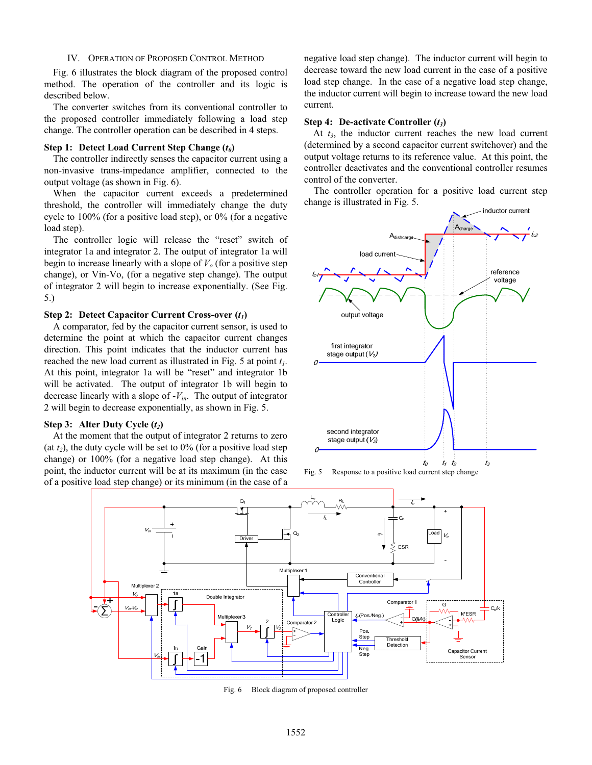#### IV. OPERATION OF PROPOSED CONTROL METHOD

Fig. 6 illustrates the block diagram of the proposed control method. The operation of the controller and its logic is described below.

The converter switches from its conventional controller to the proposed controller immediately following a load step change. The controller operation can be described in 4 steps.

## **Step 1: Detect Load Current Step Change (***t0***)**

The controller indirectly senses the capacitor current using a non-invasive trans-impedance amplifier, connected to the output voltage (as shown in Fig. 6).

When the capacitor current exceeds a predetermined threshold, the controller will immediately change the duty cycle to 100% (for a positive load step), or 0% (for a negative load step).

The controller logic will release the "reset" switch of integrator 1a and integrator 2. The output of integrator 1a will begin to increase linearly with a slope of  $V<sub>o</sub>$  (for a positive step change), or Vin-Vo, (for a negative step change). The output of integrator 2 will begin to increase exponentially. (See Fig. 5.)

#### **Step 2: Detect Capacitor Current Cross-over**  $(t_1)$

A comparator, fed by the capacitor current sensor, is used to determine the point at which the capacitor current changes direction. This point indicates that the inductor current has reached the new load current as illustrated in Fig. 5 at point *t1*. At this point, integrator 1a will be "reset" and integrator 1b will be activated. The output of integrator 1b will begin to decrease linearly with a slope of -*Vin*. The output of integrator 2 will begin to decrease exponentially, as shown in Fig. 5.

# **Step 3:** Alter Duty Cycle  $(t_2)$

At the moment that the output of integrator 2 returns to zero (at  $t_2$ ), the duty cycle will be set to  $0\%$  (for a positive load step change) or 100% (for a negative load step change). At this point, the inductor current will be at its maximum (in the case of a positive load step change) or its minimum (in the case of a negative load step change). The inductor current will begin to decrease toward the new load current in the case of a positive load step change. In the case of a negative load step change, the inductor current will begin to increase toward the new load current.

#### **Step 4: De-activate Controller (***t3***)**

At  $t_3$ , the inductor current reaches the new load current (determined by a second capacitor current switchover) and the output voltage returns to its reference value. At this point, the controller deactivates and the conventional controller resumes control of the converter.

The controller operation for a positive load current step change is illustrated in Fig. 5.







Fig. 6 Block diagram of proposed controller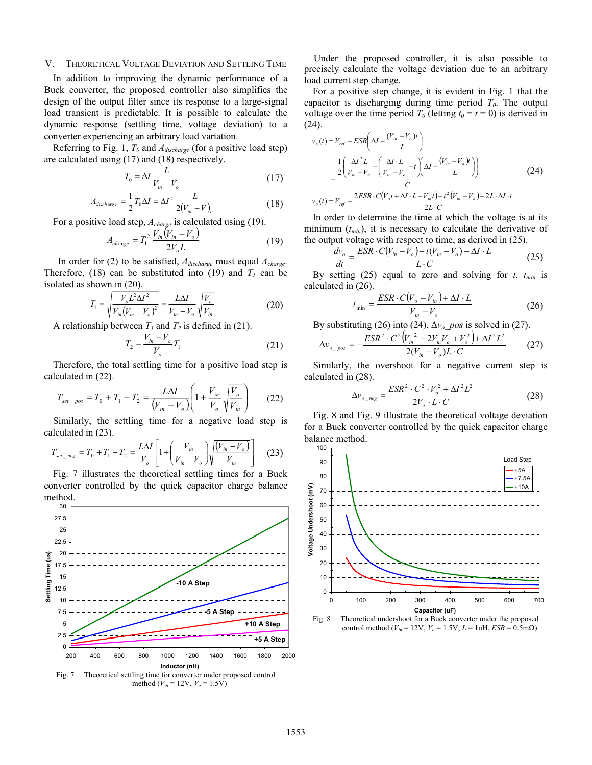## V. THEORETICAL VOLTAGE DEVIATION AND SETTLING TIME

In addition to improving the dynamic performance of a Buck converter, the proposed controller also simplifies the design of the output filter since its response to a large-signal load transient is predictable. It is possible to calculate the dynamic response (settling time, voltage deviation) to a converter experiencing an arbitrary load variation.

Referring to Fig. 1, *T0* and *Adischarge* (for a positive load step) are calculated using (17) and (18) respectively.

$$
T_0 = \Delta I \frac{L}{V_{in} - V_o} \tag{17}
$$

$$
A_{discharge} = \frac{1}{2}T_0 \Delta I = \Delta I^2 \frac{L}{2(V_{in} - V)_{o}}
$$
(18)

For a positive load step, *Acharge* is calculated using (19).

$$
A_{charge} = T_1^2 \frac{V_{in}(V_{in} - V_o)}{2V_o L}
$$
 (19)

 In order for (2) to be satisfied, *Adischarge* must equal *Acharge*. Therefore, (18) can be substituted into (19) and  $T_1$  can be isolated as shown in (20).

$$
T_1 = \sqrt{\frac{V_o L^2 \Delta I^2}{V_{in}(V_{in} - V_o)^2}} = \frac{L \Delta I}{V_{in} - V_o} \sqrt{\frac{V_o}{V_{in}}}
$$
(20)

A relationship between  $T_1$  and  $T_2$  is defined in (21).

$$
T_2 = \frac{V_{in} - V_o}{V_o} T_1 \tag{21}
$$

Therefore, the total settling time for a positive load step is calculated in (22).

$$
T_{set\_pos} = T_0 + T_1 + T_2 = \frac{L\Delta T}{(V_{in} - V_o)} \left( 1 + \frac{V_{in}}{V_o} \sqrt{\frac{V_o}{V_{in}}} \right) \tag{22}
$$

Similarly, the settling time for a negative load step is calculated in (23).

$$
T_{set\_neg} = T_0 + T_1 + T_2 = \frac{L\Delta T}{V_o} \left[ 1 + \left( \frac{V_{in}}{V_{in} - V_o} \right) \sqrt{\frac{(V_{in} - V_o)}{V_{in}}} \right]
$$
 (23)

Fig. 7 illustrates the theoretical settling times for a Buck converter controlled by the quick capacitor charge balance method.



Under the proposed controller, it is also possible to precisely calculate the voltage deviation due to an arbitrary load current step change.

For a positive step change, it is evident in Fig. 1 that the capacitor is discharging during time period  $T<sub>0</sub>$ . The output voltage over the time period  $T_0$  (letting  $t_0 = t = 0$ ) is derived in (24).

$$
v_o(t) = V_{ref} - ESR \left( \Delta I - \frac{(V_{in} - V_o)t}{L} \right)
$$
  

$$
- \frac{\frac{1}{2} \left( \frac{\Delta I^2 L}{V_{in} - V_o} - \left( \frac{\Delta I \cdot L}{V_{in} - V_o} - t \right) \left( \Delta I - \frac{(V_{in} - V_o)t}{L} \right) \right)}{C}
$$
  

$$
v_o(t) = V_{ref} - \frac{2ESR \cdot C(V_o t + \Delta I \cdot L - V_{in}t) - t^2 (V_{in} - V_o) + 2L \cdot \Delta I \cdot t}{2L \cdot C}
$$
 (24)

In order to determine the time at which the voltage is at its minimum  $(t_{min})$ , it is necessary to calculate the derivative of the output voltage with respect to time, as derived in (25).

$$
\frac{dv_o}{dt} = \frac{ESR \cdot C(V_{in} - V_o) + t(V_{in} - V_o) - \Delta I \cdot L}{L \cdot C}
$$
\n(25)

By setting  $(25)$  equal to zero and solving for *t*,  $t_{min}$  is calculated in (26).

$$
t_{\min} = \frac{ESR \cdot C(V_o - V_{in}) + \Delta I \cdot L}{V_{in} - V_o}
$$
 (26)

By substituting (26) into (24),  $\Delta v_a$  *pos* is solved in (27).

$$
\Delta v_{o_{p}pos} = -\frac{ESR^2 \cdot C^2 \left(V_{in}^2 - 2V_{in}V_o + V_o^2\right) + \Delta I^2 L^2}{2(V_{in} - V_o)L \cdot C}
$$
 (27)

Similarly, the overshoot for a negative current step is calculated in (28).

$$
\Delta v_{o_{\text{neg}}} = \frac{ESR^2 \cdot C^2 \cdot V_o^2 + \Delta I^2 L^2}{2V_o \cdot L \cdot C}
$$
 (28)

Fig. 8 and Fig. 9 illustrate the theoretical voltage deviation for a Buck converter controlled by the quick capacitor charge balance method.



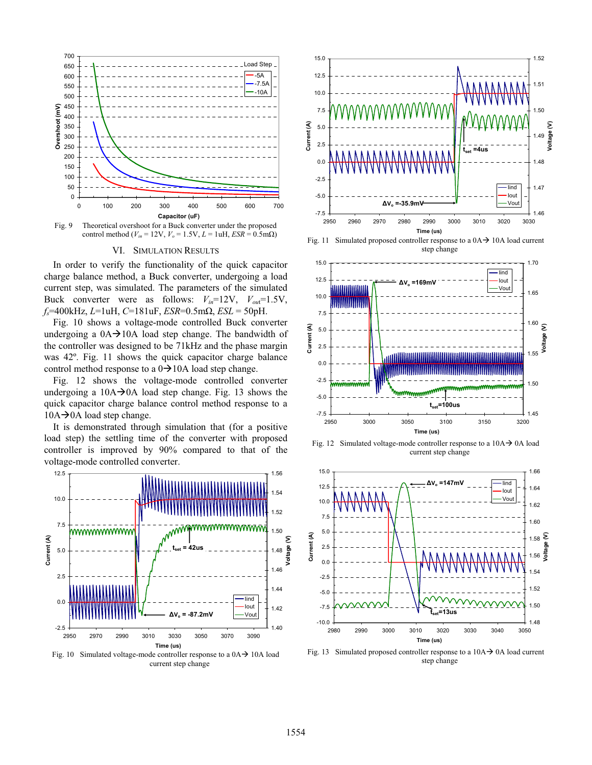



## VI. SIMULATION RESULTS

In order to verify the functionality of the quick capacitor charge balance method, a Buck converter, undergoing a load current step, was simulated. The parameters of the simulated Buck converter were as follows: *Vin*=12V, *Vou*t=1.5V, *fs*=400kHz, *L*=1uH, *C*=181uF, *ESR*=0.5mȍ, *ESL* = 50pH.

Fig. 10 shows a voltage-mode controlled Buck converter undergoing a  $0A \rightarrow 10A$  load step change. The bandwidth of the controller was designed to be 71kHz and the phase margin was 42º. Fig. 11 shows the quick capacitor charge balance control method response to a  $0 \rightarrow 10$ A load step change.

Fig. 12 shows the voltage-mode controlled converter undergoing a  $10A \rightarrow 0A$  load step change. Fig. 13 shows the quick capacitor charge balance control method response to a  $10A \rightarrow 0A$  load step change.

It is demonstrated through simulation that (for a positive load step) the settling time of the converter with proposed controller is improved by 90% compared to that of the voltage-mode controlled converter.



Fig. 10 Simulated voltage-mode controller response to a  $0A \rightarrow 10A$  load current step change





Fig. 12 Simulated voltage-mode controller response to a  $10A \rightarrow 0A$  load current step change



Fig. 13 Simulated proposed controller response to a  $10A \rightarrow 0A$  load current step change